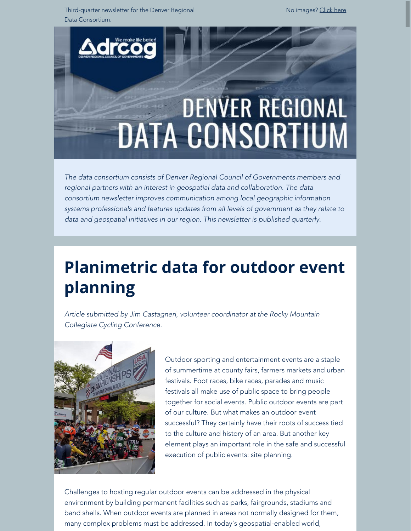Third-quarter newsletter for the Denver Regional Data Consortium.

No images? [Click here](https://drcog.createsend1.com/t/d-e-muitdyk-l-yk/)



*The data consortium consists of Denver Regional Council of Governments members and regional partners with an interest in geospatial data and collaboration. The data consortium newsletter improves communication among local geographic information systems professionals and features updates from all levels of government as they relate to data and geospatial initiatives in our region. This newsletter is published quarterly.*

# **Planimetric data for outdoor event planning**

*Article submitted by Jim Castagneri, volunteer coordinator at the Rocky Mountain Collegiate Cycling Conference.*



Outdoor sporting and entertainment events are a staple of summertime at county fairs, farmers markets and urban festivals. Foot races, bike races, parades and music festivals all make use of public space to bring people together for social events. Public outdoor events are part of our culture. But what makes an outdoor event successful? They certainly have their roots of success tied to the culture and history of an area. But another key element plays an important role in the safe and successful execution of public events: site planning.

Challenges to hosting regular outdoor events can be addressed in the physical environment by building permanent facilities such as parks, fairgrounds, stadiums and band shells. When outdoor events are planned in areas not normally designed for them, many complex problems must be addressed. In today's geospatial-enabled world,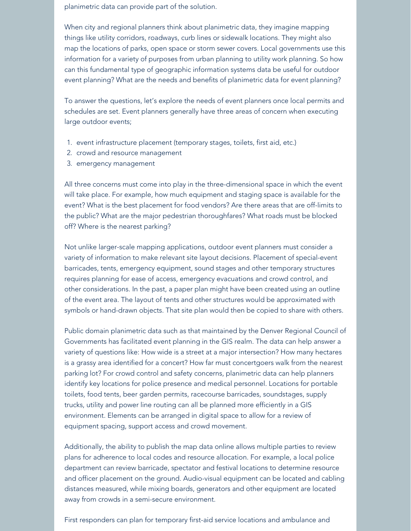planimetric data can provide part of the solution.

When city and regional planners think about planimetric data, they imagine mapping things like utility corridors, roadways, curb lines or sidewalk locations. They might also map the locations of parks, open space or storm sewer covers. Local governments use this information for a variety of purposes from urban planning to utility work planning. So how can this fundamental type of geographic information systems data be useful for outdoor event planning? What are the needs and benefits of planimetric data for event planning?

To answer the questions, let's explore the needs of event planners once local permits and schedules are set. Event planners generally have three areas of concern when executing large outdoor events;

- 1. event infrastructure placement (temporary stages, toilets, first aid, etc.)
- 2. crowd and resource management
- 3. emergency management

All three concerns must come into play in the three-dimensional space in which the event will take place. For example, how much equipment and staging space is available for the event? What is the best placement for food vendors? Are there areas that are off-limits to the public? What are the major pedestrian thoroughfares? What roads must be blocked off? Where is the nearest parking?

Not unlike larger-scale mapping applications, outdoor event planners must consider a variety of information to make relevant site layout decisions. Placement of special-event barricades, tents, emergency equipment, sound stages and other temporary structures requires planning for ease of access, emergency evacuations and crowd control, and other considerations. In the past, a paper plan might have been created using an outline of the event area. The layout of tents and other structures would be approximated with symbols or hand-drawn objects. That site plan would then be copied to share with others.

Public domain planimetric data such as that maintained by the Denver Regional Council of Governments has facilitated event planning in the GIS realm. The data can help answer a variety of questions like: How wide is a street at a major intersection? How many hectares is a grassy area identified for a concert? How far must concertgoers walk from the nearest parking lot? For crowd control and safety concerns, planimetric data can help planners identify key locations for police presence and medical personnel. Locations for portable toilets, food tents, beer garden permits, racecourse barricades, soundstages, supply trucks, utility and power line routing can all be planned more efficiently in a GIS environment. Elements can be arranged in digital space to allow for a review of equipment spacing, support access and crowd movement.

Additionally, the ability to publish the map data online allows multiple parties to review plans for adherence to local codes and resource allocation. For example, a local police department can review barricade, spectator and festival locations to determine resource and officer placement on the ground. Audio-visual equipment can be located and cabling distances measured, while mixing boards, generators and other equipment are located away from crowds in a semi-secure environment.

First responders can plan for temporary first-aid service locations and ambulance and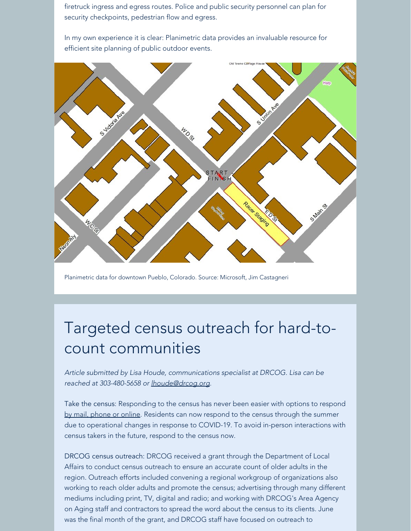firetruck ingress and egress routes. Police and public security personnel can plan for security checkpoints, pedestrian flow and egress.

In my own experience it is clear: Planimetric data provides an invaluable resource for efficient site planning of public outdoor events.



Planimetric data for downtown Pueblo, Colorado. Source: Microsoft, Jim Castagneri

## Targeted census outreach for hard-tocount communities

*Article submitted by Lisa Houde, communications specialist at DRCOG. Lisa can be reached at 303-480-5658 or [lhoude@drcog.org](mailto:lhoude@drcog.org).*

Take the census: Responding to the census has never been easier with options to respond [by mail, phone or online](https://drcog.createsend1.com/t/d-l-muitdyk-l-y/). Residents can now respond to the census through the summer due to operational changes in response to COVID-19. To avoid in-person interactions with census takers in the future, respond to the census now.

DRCOG census outreach: DRCOG received a grant through the Department of Local Affairs to conduct census outreach to ensure an accurate count of older adults in the region. Outreach efforts included convening a regional workgroup of organizations also working to reach older adults and promote the census; advertising through many different mediums including print, TV, digital and radio; and working with DRCOG's Area Agency on Aging staff and contractors to spread the word about the census to its clients. June was the final month of the grant, and DRCOG staff have focused on outreach to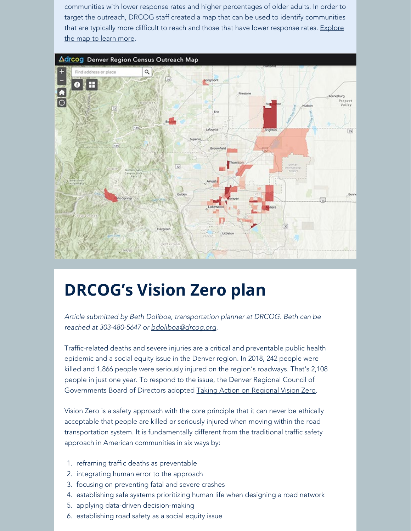communities with lower response rates and higher percentages of older adults. In order to target the outreach, DRCOG staff created a map that can be used to identify communities that are typically more difficult to reach and those that have lower response rates. [Explore](https://drcog.createsend1.com/t/d-l-muitdyk-l-j/) [the map to learn more](https://drcog.createsend1.com/t/d-l-muitdyk-l-j/).



## **DRCOG's Vision Zero plan**

*Article submitted by Beth Doliboa, transportation planner at DRCOG. Beth can be reached at 303-480-5647 or [bdoliboa@drcog.org](mailto:bdoliboa@drcog.org).*

Traffic-related deaths and severe injuries are a critical and preventable public health epidemic and a social equity issue in the Denver region. In 2018, 242 people were killed and 1,866 people were seriously injured on the region's roadways. That's 2,108 people in just one year. To respond to the issue, the Denver Regional Council of Governments Board of Directors adopted [Taking Action on Regional Vision Zero](https://drcog.createsend1.com/t/d-l-muitdyk-l-i/).

Vision Zero is a safety approach with the core principle that it can never be ethically acceptable that people are killed or seriously injured when moving within the road transportation system. It is fundamentally different from the traditional traffic safety approach in American communities in six ways by:

- 1. reframing traffic deaths as preventable
- 2. integrating human error to the approach
- 3. focusing on preventing fatal and severe crashes
- 4. establishing safe systems prioritizing human life when designing a road network
- 5. applying data-driven decision-making
- 6. establishing road safety as a social equity issue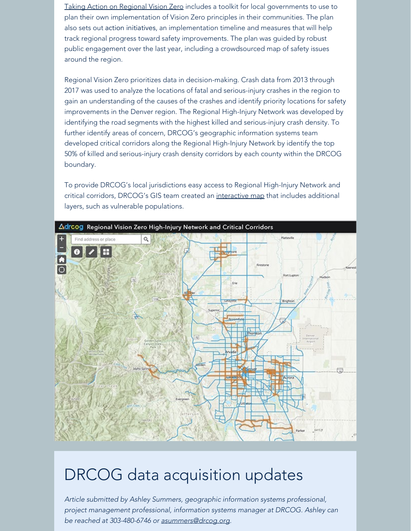[Taking Action on Regional Vision Zero](https://drcog.createsend1.com/t/d-l-muitdyk-l-d/) includes a toolkit for local governments to use to plan their own implementation of Vision Zero principles in their communities. The plan also sets out action initiatives, an implementation timeline and measures that will help track regional progress toward safety improvements. The plan was guided by robust public engagement over the last year, including a crowdsourced map of safety issues around the region.

Regional Vision Zero prioritizes data in decision-making. Crash data from 2013 through 2017 was used to analyze the locations of fatal and serious-injury crashes in the region to gain an understanding of the causes of the crashes and identify priority locations for safety improvements in the Denver region. The Regional High-Injury Network was developed by identifying the road segments with the highest killed and serious-injury crash density. To further identify areas of concern, DRCOG's geographic information systems team developed critical corridors along the Regional High-Injury Network by identify the top 50% of killed and serious-injury crash density corridors by each county within the DRCOG boundary.

To provide DRCOG's local jurisdictions easy access to Regional High-Injury Network and critical corridors, DRCOG's GIS team created an [interactive map](https://drcog.createsend1.com/t/d-l-muitdyk-l-h/) that includes additional layers, such as vulnerable populations.



DRCOG data acquisition updates *Article submitted by Ashley Summers, geographic information systems professional,*

*project management professional, information systems manager at DRCOG. Ashley can be reached at 303-480-6746 or [asummers@drcog.org](mailto:asummers@drcog.org).*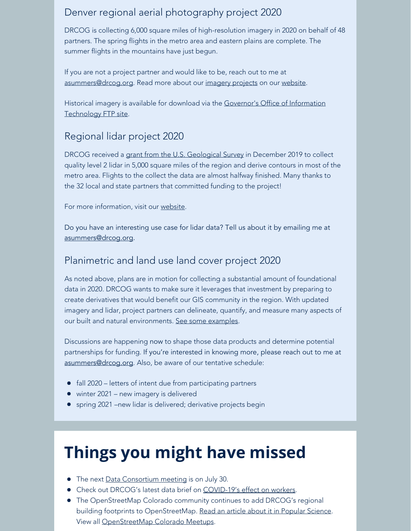### Denver regional aerial photography project 2020

DRCOG is collecting 6,000 square miles of high-resolution imagery in 2020 on behalf of 48 partners. The spring flights in the metro area and eastern plains are complete. The summer flights in the mountains have just begun.

If you are not a project partner and would like to be, reach out to me at [asummers@drcog.org](mailto:asummers@drcog.org). Read more about our [imagery projects](https://drcog.createsend1.com/t/d-l-muitdyk-l-u/) on our [website](https://drcog.createsend1.com/t/d-l-muitdyk-l-o/).

Historical imagery is available for download via the [Governor's Office of Information](https://drcog.createsend1.com/t/d-l-muitdyk-l-b/) [Technology](https://drcog.createsend1.com/t/d-l-muitdyk-l-b/) FTP site.

### Regional lidar project 2020

DRCOG received a [grant from the U.S. Geological Survey](https://drcog.createsend1.com/t/d-l-muitdyk-l-n/) in December 2019 to collect quality level 2 lidar in 5,000 square miles of the region and derive contours in most of the metro area. Flights to the collect the data are almost halfway finished. Many thanks to the 32 local and state partners that committed funding to the project!

For more information, visit our [website](https://drcog.createsend1.com/t/d-l-muitdyk-l-m/).

Do you have an interesting use case for lidar data? Tell us about it by emailing me at [asummers@drcog.org](mailto:asummers@drcog.org).

#### Planimetric and land use land cover project 2020

As noted above, plans are in motion for collecting a substantial amount of foundational data in 2020. DRCOG wants to make sure it leverages that investment by preparing to create derivatives that would benefit our GIS community in the region. With updated imagery and lidar, project partners can delineate, quantify, and measure many aspects of our built and natural environments. [See some examples](https://drcog.createsend1.com/t/d-l-muitdyk-l-c/).

Discussions are happening now to shape those data products and determine potential partnerships for funding. If you're interested in knowing more, please reach out to me at [asummers@drcog.org](mailto:asummers@drcog.org). Also, be aware of our tentative schedule:

- fall 2020 letters of intent due from participating partners
- winter 2021 new imagery is delivered
- spring 2021 –new lidar is delivered; derivative projects begin

# **Things you might have missed**

- The next [Data Consortium meeting](https://drcog.createsend1.com/t/d-l-muitdyk-l-q/) is on July 30.
- Check out DRCOG's latest data brief on [COVID-19's effect on workers](https://drcog.createsend1.com/t/d-l-muitdyk-l-a/).
- The OpenStreetMap Colorado community continues to add DRCOG's regional building footprints to OpenStreetMap. [Read an article about it in Popular Science](https://drcog.createsend1.com/t/d-l-muitdyk-l-z/). View all [OpenStreetMap Colorado Meetups.](https://drcog.createsend1.com/t/d-l-muitdyk-l-v/)